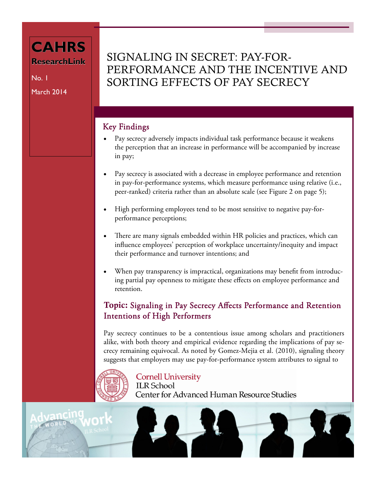# **CAHRS ResearchLink**

No. 1 March 2014

# SIGNALING IN SECRET: PAY-FOR-PERFORMANCE AND THE INCENTIVE AND SORTING EFFECTS OF PAY SECRECY

## Key Findings

- Pay secrecy adversely impacts individual task performance because it weakens the perception that an increase in performance will be accompanied by increase in pay;
- Pay secrecy is associated with a decrease in employee performance and retention in pay-for-performance systems, which measure performance using relative (i.e., peer-ranked) criteria rather than an absolute scale (see Figure 2 on page 5);
- High performing employees tend to be most sensitive to negative pay-forperformance perceptions;
- There are many signals embedded within HR policies and practices, which can influence employees' perception of workplace uncertainty/inequity and impact their performance and turnover intentions; and
- When pay transparency is impractical, organizations may benefit from introducing partial pay openness to mitigate these effects on employee performance and retention.

## Topic: Signaling in Pay Secrecy Affects Performance and Retention Intentions of High Performers

Pay secrecy continues to be a contentious issue among scholars and practitioners alike, with both theory and empirical evidence regarding the implications of pay secrecy remaining equivocal. As noted by Gomez-Mejia et al. (2010), signaling theory suggests that employers may use pay-for-performance system attributes to signal to



#### **Cornell University**

**ILR** School **Center for Advanced Human Resource Studies**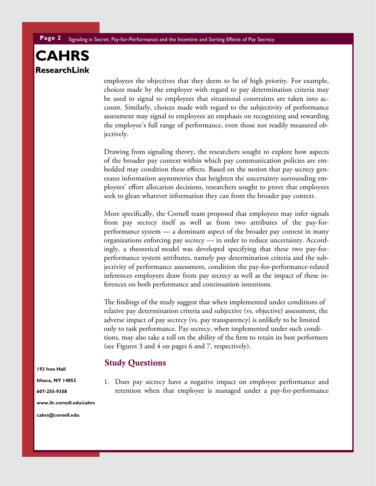employees the objectives that they deem to be of high priority. For example, choices made by the employer with regard to pay determination criteria may be used to signal to employees that situational constraints are taken into account. Similarly, choices made with regard to the subjectivity of performance assessment may signal to employees an emphasis on recognizing and rewarding the employee's full range of performance, even those not readily measured objectively.

Drawing from signaling theory, the researchers sought to explore how aspects of the broader pay context within which pay communication policies are embedded may condition these effects. Based on the notion that pay secrecy generates information asymmetries that heighten the uncertainty surrounding employees' effort allocation decisions, researchers sought to prove that employees seek to glean whatever information they can from the broader pay context.

More specifically, the Cornell team proposed that employees may infer signals from pay secrecy itself as well as from two attributes of the pay-forperformance system — a dominant aspect of the broader pay context in many organizations enforcing pay secrecy — in order to reduce uncertainty. Accordingly, a theoretical model was developed specifying that these two pay-forperformance system attributes, namely pay determination criteria and the subjectivity of performance assessment, condition the pay-for-performance-related inferences employees draw from pay secrecy as well as the impact of these inferences on both performance and continuation intentions.

The findings of the study suggest that when implemented under conditions of relative pay determination criteria and subjective (vs. objective) assessment, the adverse impact of pay secrecy (vs. pay transparency) is unlikely to be limited only to task performance. Pay secrecy, when implemented under such conditions, may also take a toll on the ability of the firm to retain its best performers (see Figures 3 and 4 on pages 6 and 7, respectively).

#### Study Questions

1. Does pay secrecy have a negative impact on employee performance and retention when that employee is managed under a pay-for-performance

**193 Ives Hall** 

**Ithaca, NY 14853** 

**607-255-9358** 

**www.ilr.cornell.edu/cahrs** 

cahrs@cornell.edu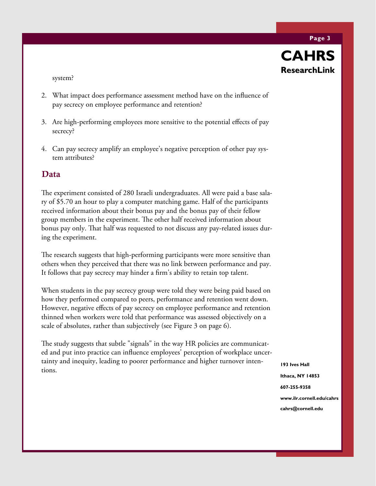**Page 3** 



system?

- 2. What impact does performance assessment method have on the influence of pay secrecy on employee performance and retention?
- 3. Are high-performing employees more sensitive to the potential effects of pay secrecy?
- 4. Can pay secrecy amplify an employee's negative perception of other pay system attributes?

### Data

The experiment consisted of 280 Israeli undergraduates. All were paid a base salary of \$5.70 an hour to play a computer matching game. Half of the participants received information about their bonus pay and the bonus pay of their fellow group members in the experiment. The other half received information about bonus pay only. That half was requested to not discuss any pay-related issues during the experiment.

The research suggests that high-performing participants were more sensitive than others when they perceived that there was no link between performance and pay. It follows that pay secrecy may hinder a firm's ability to retain top talent.

When students in the pay secrecy group were told they were being paid based on how they performed compared to peers, performance and retention went down. However, negative effects of pay secrecy on employee performance and retention thinned when workers were told that performance was assessed objectively on a scale of absolutes, rather than subjectively (see Figure 3 on page 6).

The study suggests that subtle "signals" in the way HR policies are communicated and put into practice can influence employees' perception of workplace uncertainty and inequity, leading to poorer performance and higher turnover intentions.

**193 Ives Hall Ithaca, NY 14853 607-255-9358 www.ilr.cornell.edu/cahrs cahrs@cornell.edu**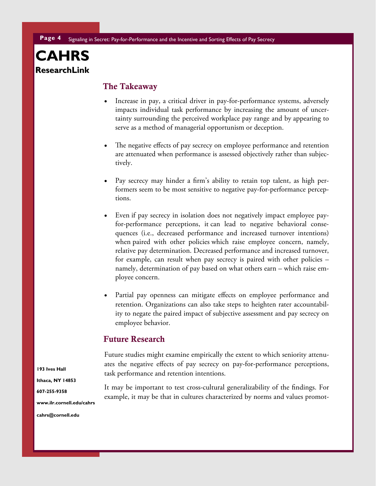#### The Takeaway

- Increase in pay, a critical driver in pay-for-performance systems, adversely impacts individual task performance by increasing the amount of uncertainty surrounding the perceived workplace pay range and by appearing to serve as a method of managerial opportunism or deception.
- The negative effects of pay secrecy on employee performance and retention are attenuated when performance is assessed objectively rather than subjectively.
- Pay secrecy may hinder a firm's ability to retain top talent, as high performers seem to be most sensitive to negative pay-for-performance perceptions.
- Even if pay secrecy in isolation does not negatively impact employee payfor-performance perceptions, it can lead to negative behavioral consequences (i.e., decreased performance and increased turnover intentions) when paired with other policies which raise employee concern, namely, relative pay determination. Decreased performance and increased turnover, for example, can result when pay secrecy is paired with other policies – namely, determination of pay based on what others earn – which raise employee concern.
- Partial pay openness can mitigate effects on employee performance and retention. Organizations can also take steps to heighten rater accountability to negate the paired impact of subjective assessment and pay secrecy on employee behavior.

#### Future Research

Future studies might examine empirically the extent to which seniority attenuates the negative effects of pay secrecy on pay-for-performance perceptions, task performance and retention intentions.

It may be important to test cross-cultural generalizability of the findings. For example, it may be that in cultures characterized by norms and values promot-

**193 Ives Hall Ithaca, NY 14853 607-255-9358 www.ilr.cornell.edu/cahrs** 

cahrs@cornell.edu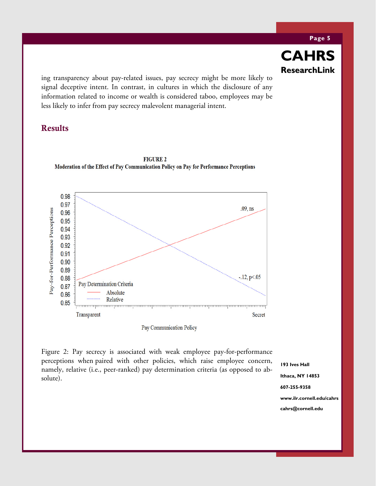ing transparency about pay-related issues, pay secrecy might be more likely to signal deceptive intent. In contrast, in cultures in which the disclosure of any information related to income or wealth is considered taboo, employees may be less likely to infer from pay secrecy malevolent managerial intent.

#### Results



**FIGURE 2** Moderation of the Effect of Pay Communication Policy on Pay for Performance Perceptions

Pay Communication Policy

Figure 2: Pay secrecy is associated with weak employee pay-for-performance perceptions when paired with other policies, which raise employee concern, namely, relative (i.e., peer-ranked) pay determination criteria (as opposed to absolute).

**193 Ives Hall Ithaca, NY 14853 607-255-9358 www.ilr.cornell.edu/cahrs cahrs@cornell.edu** 

**CAHRS**

**ResearchLink ResearchLink**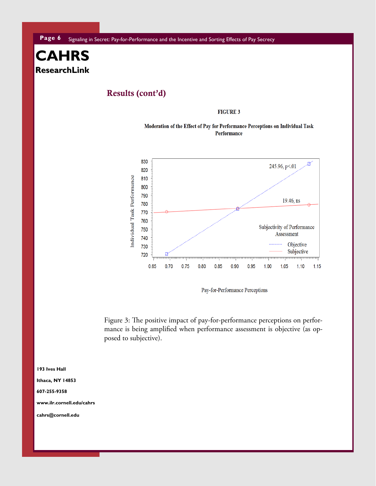## Results (cont'd)

#### **FIGURE 3**

#### Moderation of the Effect of Pay for Performance Perceptions on Individual Task Performance



Pay-for-Performance Perceptions

Figure 3: The positive impact of pay-for-performance perceptions on performance is being amplified when performance assessment is objective (as opposed to subjective).

**193 Ives Hall** 

**Ithaca, NY 14853** 

#### **607-255-9358**

**www.ilr.cornell.edu/cahrs** 

cahrs@cornell.edu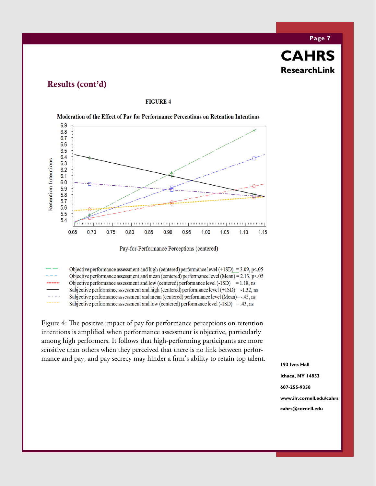# **Page 7 CAHRS**

**ResearchLink ResearchLink** 

## Results (cont'd)

#### **FIGURE 4**



Moderation of the Effect of Pay for Performance Perceptions on Retention Intentions

Pay-for-Performance Perceptions (centered)

Objective performance assessment and high (centered) performance level  $(+1SD) = 3.09$ , p<05 Objective performance assessment and mean (centered) performance level (Mean) =  $2.13$ , p<.05 Objective performance assessment and low (centered) performance level  $(-1SD) = 1.18$ , ns Subjective performance assessment and high (centered) performance level  $(+1SD) = -1.32$ , ns Subjective performance assessment and mean (centered) performance level (Mean)=-.45, ns Subjective performance assessment and low (centered) performance level  $(-1SD) = .43$ , ns

Figure 4: The positive impact of pay for performance perceptions on retention intentions is amplified when performance assessment is objective, particularly among high performers. It follows that high-performing participants are more sensitive than others when they perceived that there is no link between performance and pay, and pay secrecy may hinder a firm's ability to retain top talent.

**193 Ives Hall Ithaca, NY 14853 607-255-9358 www.ilr.cornell.edu/cahrs cahrs@cornell.edu**